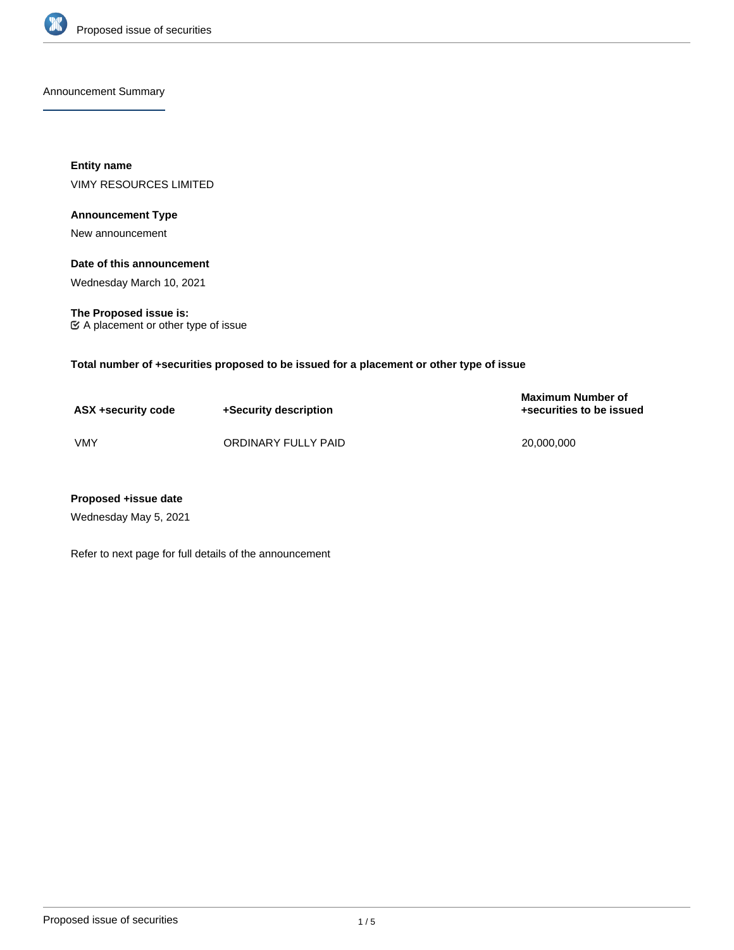

Announcement Summary

**Entity name** VIMY RESOURCES LIMITED

# **Announcement Type**

New announcement

## **Date of this announcement**

Wednesday March 10, 2021

**The Proposed issue is:** A placement or other type of issue

**Total number of +securities proposed to be issued for a placement or other type of issue**

| ASX +security code | +Security description | <b>Maximum Number of</b><br>+securities to be issued |
|--------------------|-----------------------|------------------------------------------------------|
| VMY                | ORDINARY FULLY PAID   | 20.000.000                                           |

# **Proposed +issue date**

Wednesday May 5, 2021

Refer to next page for full details of the announcement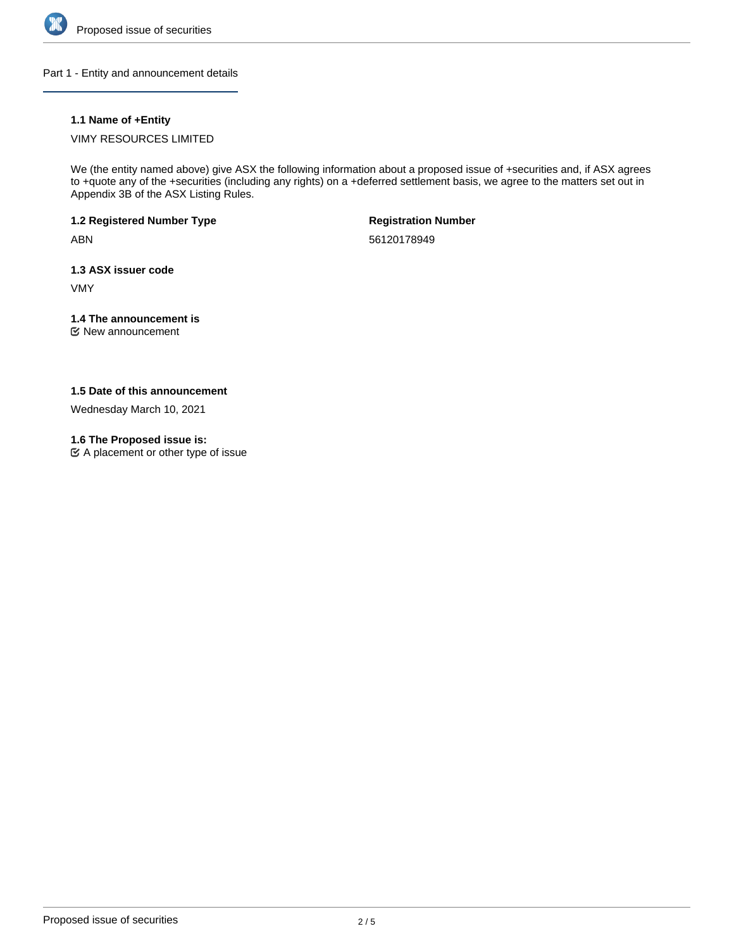

Part 1 - Entity and announcement details

# **1.1 Name of +Entity**

VIMY RESOURCES LIMITED

We (the entity named above) give ASX the following information about a proposed issue of +securities and, if ASX agrees to +quote any of the +securities (including any rights) on a +deferred settlement basis, we agree to the matters set out in Appendix 3B of the ASX Listing Rules.

**1.2 Registered Number Type**

ABN

**Registration Number**

56120178949

**1.3 ASX issuer code**

VMY

# **1.4 The announcement is**

New announcement

# **1.5 Date of this announcement**

Wednesday March 10, 2021

# **1.6 The Proposed issue is:**

 $\mathfrak{C}$  A placement or other type of issue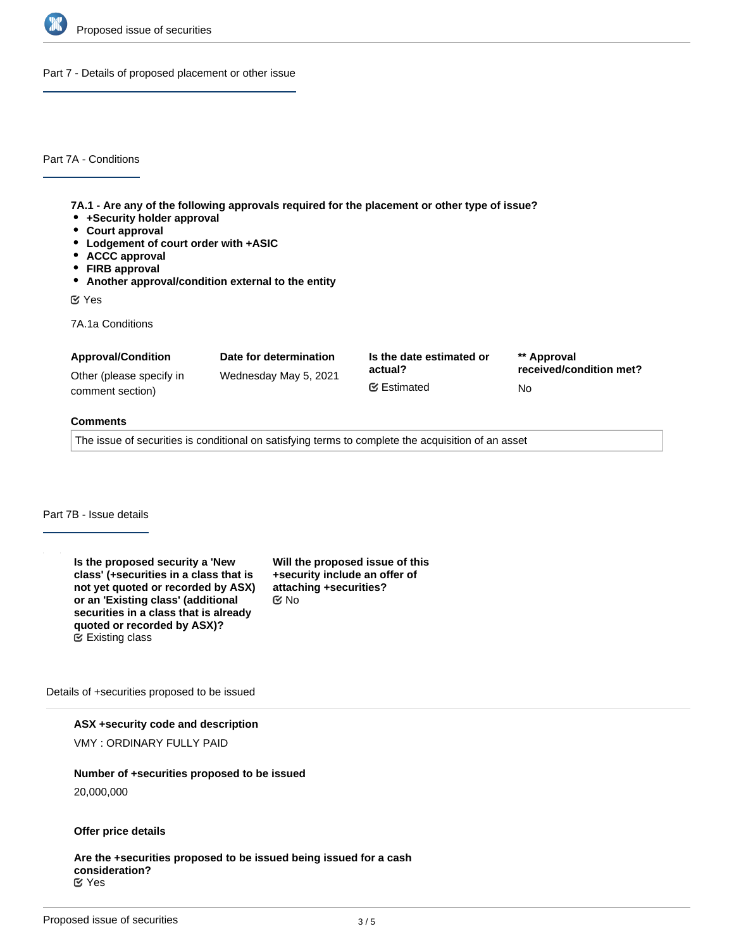

Part 7 - Details of proposed placement or other issue

Part 7A - Conditions

**7A.1 - Are any of the following approvals required for the placement or other type of issue?**

- **+Security holder approval**
- **Court approval**
- **Lodgement of court order with +ASIC**
- **ACCC approval**
- **FIRB approval**
- **Another approval/condition external to the entity**

Yes

7A.1a Conditions

| <b>Approval/Condition</b> | Date for determination | Is the date estimated or | ** Approval             |
|---------------------------|------------------------|--------------------------|-------------------------|
| Other (please specify in  | Wednesday May 5, 2021  | actual?                  | received/condition met? |
| comment section)          |                        | <b></b> ■ Estimated      | No.                     |

#### **Comments**

The issue of securities is conditional on satisfying terms to complete the acquisition of an asset

# Part 7B - Issue details

**Is the proposed security a 'New class' (+securities in a class that is not yet quoted or recorded by ASX) or an 'Existing class' (additional securities in a class that is already quoted or recorded by ASX)?** Existing class

**Will the proposed issue of this +security include an offer of attaching +securities?** No

Details of +securities proposed to be issued

**ASX +security code and description**

VMY : ORDINARY FULLY PAID

#### **Number of +securities proposed to be issued**

20,000,000

#### **Offer price details**

**Are the +securities proposed to be issued being issued for a cash consideration?** Yes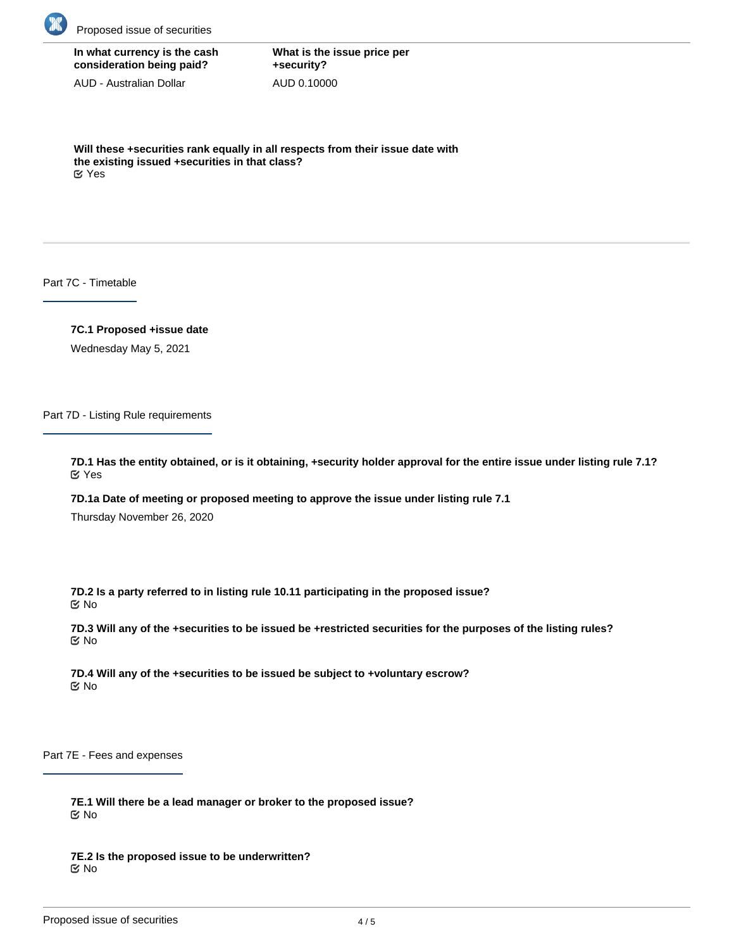

**In what currency is the cash consideration being paid?**

AUD - Australian Dollar

**What is the issue price per +security?** AUD 0.10000

**Will these +securities rank equally in all respects from their issue date with the existing issued +securities in that class?** Yes

Part 7C - Timetable

**7C.1 Proposed +issue date**

Wednesday May 5, 2021

Part 7D - Listing Rule requirements

**7D.1 Has the entity obtained, or is it obtaining, +security holder approval for the entire issue under listing rule 7.1?** Yes

**7D.1a Date of meeting or proposed meeting to approve the issue under listing rule 7.1**

Thursday November 26, 2020

**7D.2 Is a party referred to in listing rule 10.11 participating in the proposed issue?** No

**7D.3 Will any of the +securities to be issued be +restricted securities for the purposes of the listing rules?** No

**7D.4 Will any of the +securities to be issued be subject to +voluntary escrow?** No

Part 7E - Fees and expenses

**7E.1 Will there be a lead manager or broker to the proposed issue?** No

**7E.2 Is the proposed issue to be underwritten?** No